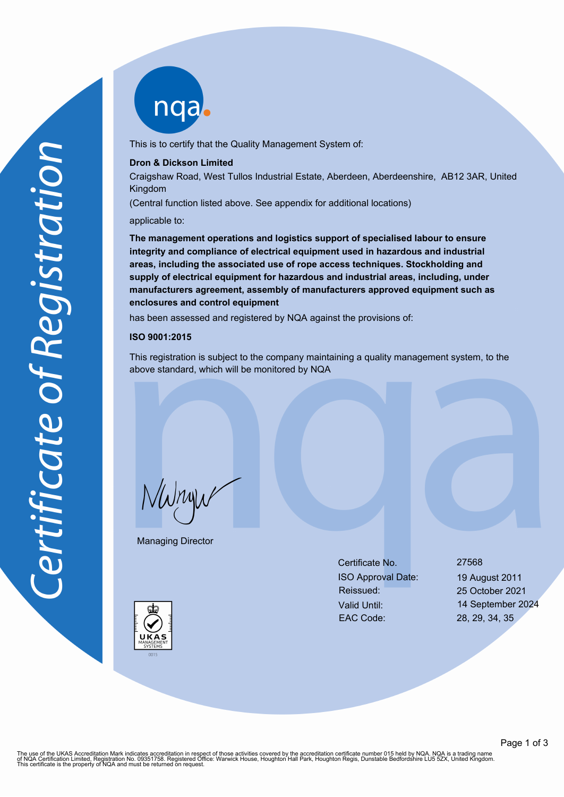nqab

This is to certify that the Quality Management System of:

### **Dron & Dickson Limited**

Craigshaw Road, West Tullos Industrial Estate, Aberdeen, Aberdeenshire, AB12 3AR, United Kingdom

(Central function listed above. See appendix for additional locations)

applicable to:

**The management operations and logistics support of specialised labour to ensure integrity and compliance of electrical equipment used in hazardous and industrial areas, including the associated use of rope access techniques. Stockholding and supply of electrical equipment for hazardous and industrial areas, including, under manufacturers agreement, assembly of manufacturers approved equipment such as enclosures and control equipment**

has been assessed and registered by NQA against the provisions of:

#### **ISO 9001:2015**

This registration is subject to the company maintaining a quality management system, to the above standard, which will be monitored by NQA

NWnyw

Managing Director

Certificate No. 27568 ISO Approval Date: 19 August 2011 Reissued: 25 October 2021 Valid Until: 14 September 2024 EAC Code: 28, 29, 34, 35

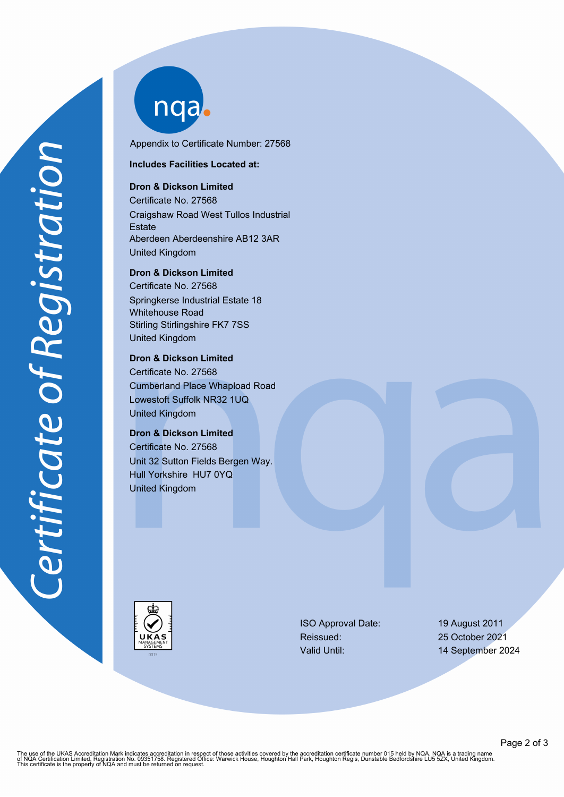nqab

Appendix to Certificate Number: 27568

**Includes Facilities Located at:**

# **Dron & Dickson Limited**

Certificate No. 27568 Craigshaw Road West Tullos Industrial **Estate** Aberdeen Aberdeenshire AB12 3AR United Kingdom

**Dron & Dickson Limited**

Certificate No. 27568 Springkerse Industrial Estate 18 Whitehouse Road Stirling Stirlingshire FK7 7SS United Kingdom

## **Dron & Dickson Limited**

Certificate No. 27568 Cumberland Place Whapload Road Lowestoft Suffolk NR32 1UQ United Kingdom

# **Dron & Dickson Limited**

Certificate No. 27568 Unit 32 Sutton Fields Bergen Way. Hull Yorkshire HU7 0YQ United Kingdom



ISO Approval Date: 19 August 2011 Reissued: 25 October 2021

Valid Until: 14 September 2024